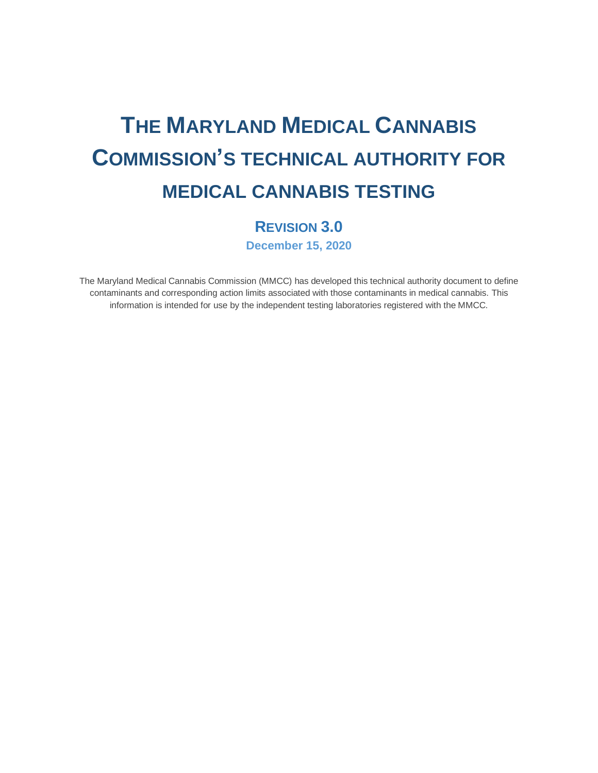# **THE MARYLAND MEDICAL CANNABIS COMMISSION'S TECHNICAL AUTHORITY FOR MEDICAL CANNABIS TESTING**

# **REVISION 3.0 December 15, 2020**

The Maryland Medical Cannabis Commission (MMCC) has developed this technical authority document to define contaminants and corresponding action limits associated with those contaminants in medical cannabis. This information is intended for use by the independent testing laboratories registered with the MMCC.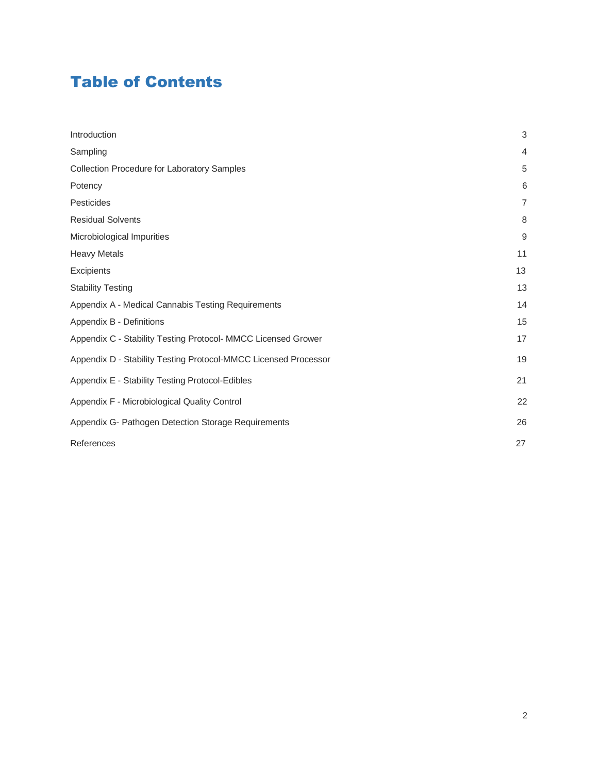# Table of Contents

| Introduction                                                    | $\mathsf 3$    |
|-----------------------------------------------------------------|----------------|
| Sampling                                                        | $\overline{4}$ |
| Collection Procedure for Laboratory Samples                     | 5              |
| Potency                                                         | 6              |
| Pesticides                                                      | $\overline{7}$ |
| <b>Residual Solvents</b>                                        | 8              |
| Microbiological Impurities                                      | 9              |
| <b>Heavy Metals</b>                                             | 11             |
| Excipients                                                      | 13             |
| <b>Stability Testing</b>                                        | 13             |
| Appendix A - Medical Cannabis Testing Requirements              | 14             |
| Appendix B - Definitions                                        | 15             |
| Appendix C - Stability Testing Protocol- MMCC Licensed Grower   | 17             |
| Appendix D - Stability Testing Protocol-MMCC Licensed Processor | 19             |
| Appendix E - Stability Testing Protocol-Edibles                 | 21             |
| Appendix F - Microbiological Quality Control                    | 22             |
| Appendix G- Pathogen Detection Storage Requirements             | 26             |
| References                                                      | 27             |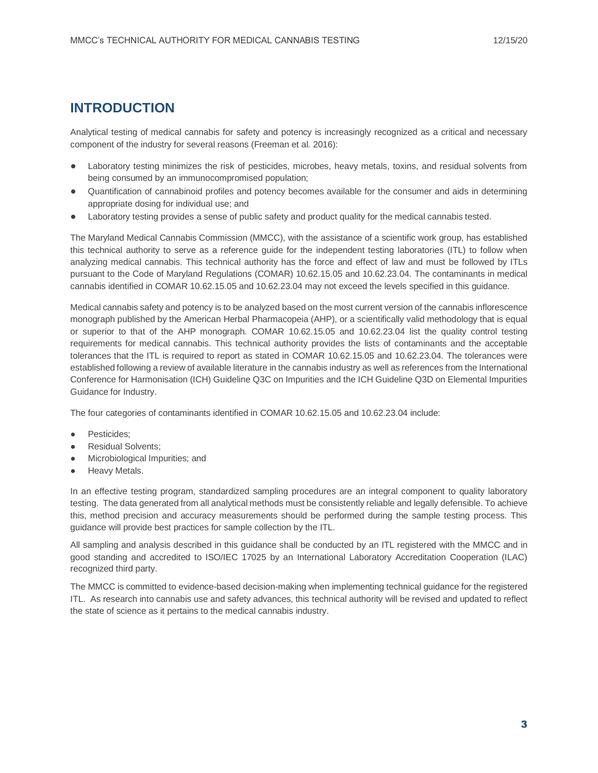# <span id="page-2-0"></span>**INTRODUCTION**

Analytical testing of medical cannabis for safety and potency is increasingly recognized as a critical and necessary component of the industry for several reasons (Freeman et al. 2016):

- Laboratory testing minimizes the risk of pesticides, microbes, heavy metals, toxins, and residual solvents from being consumed by an immunocompromised population;
- Quantification of cannabinoid profiles and potency becomes available for the consumer and aids in determining appropriate dosing for individual use; and
- Laboratory testing provides a sense of public safety and product quality for the medical cannabis tested.

The Maryland Medical Cannabis Commission (MMCC), with the assistance of a scientific work group, has established this technical authority to serve as a reference guide for the independent testing laboratories (ITL) to follow when analyzing medical cannabis. This technical authority has the force and effect of law and must be followed by ITLs pursuant to the Code of Maryland Regulations (COMAR) 10.62.15.05 and 10.62.23.04. The contaminants in medical cannabis identified in COMAR 10.62.15.05 and 10.62.23.04 may not exceed the levels specified in this guidance.

Medical cannabis safety and potency is to be analyzed based on the most current version of the cannabis inflorescence monograph published by the American Herbal Pharmacopeia (AHP), or a scientifically valid methodology that is equal or superior to that of the AHP monograph. COMAR 10.62.15.05 and 10.62.23.04 list the quality control testing requirements for medical cannabis. This technical authority provides the lists of contaminants and the acceptable tolerances that the ITL is required to report as stated in COMAR 10.62.15.05 and 10.62.23.04. The tolerances were established following a review of available literature in the cannabis industry as well as references from the International Conference for Harmonisation (ICH) Guideline Q3C on Impurities and the ICH Guideline Q3D on Elemental Impurities Guidance for Industry.

The four categories of contaminants identified in COMAR 10.62.15.05 and 10.62.23.04 include:

- Pesticides;
- Residual Solvents:
- Microbiological Impurities; and
- Heavy Metals.

In an effective testing program, standardized sampling procedures are an integral component to quality laboratory testing. The data generated from all analytical methods must be consistently reliable and legally defensible. To achieve this, method precision and accuracy measurements should be performed during the sample testing process. This guidance will provide best practices for sample collection by the ITL.

All sampling and analysis described in this guidance shall be conducted by an ITL registered with the MMCC and in good standing and accredited to ISO/IEC 17025 by an International Laboratory Accreditation Cooperation (ILAC) recognized third party.

The MMCC is committed to evidence-based decision-making when implementing technical guidance for the registered ITL. As research into cannabis use and safety advances, this technical authority will be revised and updated to reflect the state of science as it pertains to the medical cannabis industry.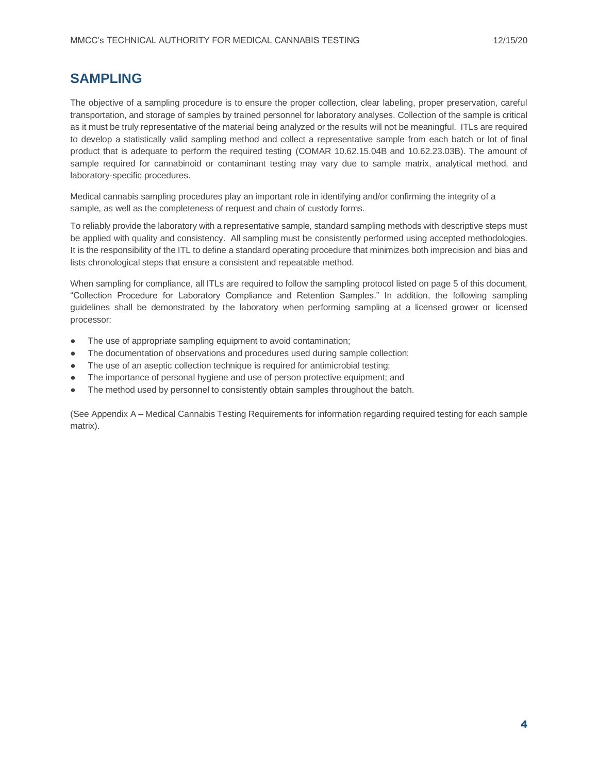# <span id="page-3-0"></span>**SAMPLING**

The objective of a sampling procedure is to ensure the proper collection, clear labeling, proper preservation, careful transportation, and storage of samples by trained personnel for laboratory analyses. Collection of the sample is critical as it must be truly representative of the material being analyzed or the results will not be meaningful. ITLs are required to develop a statistically valid sampling method and collect a representative sample from each batch or lot of final product that is adequate to perform the required testing (COMAR 10.62.15.04B and 10.62.23.03B). The amount of sample required for cannabinoid or contaminant testing may vary due to sample matrix, analytical method, and laboratory-specific procedures.

Medical cannabis sampling procedures play an important role in identifying and/or confirming the integrity of a sample, as well as the completeness of request and chain of custody forms.

To reliably provide the laboratory with a representative sample, standard sampling methods with descriptive steps must be applied with quality and consistency. All sampling must be consistently performed using accepted methodologies. It is the responsibility of the ITL to define a standard operating procedure that minimizes both imprecision and bias and lists chronological steps that ensure a consistent and repeatable method.

When sampling for compliance, all ITLs are required to follow the sampling protocol listed on page 5 of this document, "Collection Procedure for Laboratory Compliance and Retention Samples." In addition, the following sampling guidelines shall be demonstrated by the laboratory when performing sampling at a licensed grower or licensed processor:

- The use of appropriate sampling equipment to avoid contamination;
- The documentation of observations and procedures used during sample collection;
- The use of an aseptic collection technique is required for antimicrobial testing;
- The importance of personal hygiene and use of person protective equipment; and
- The method used by personnel to consistently obtain samples throughout the batch.

(See Appendix A – Medical Cannabis Testing Requirements for information regarding required testing for each sample matrix).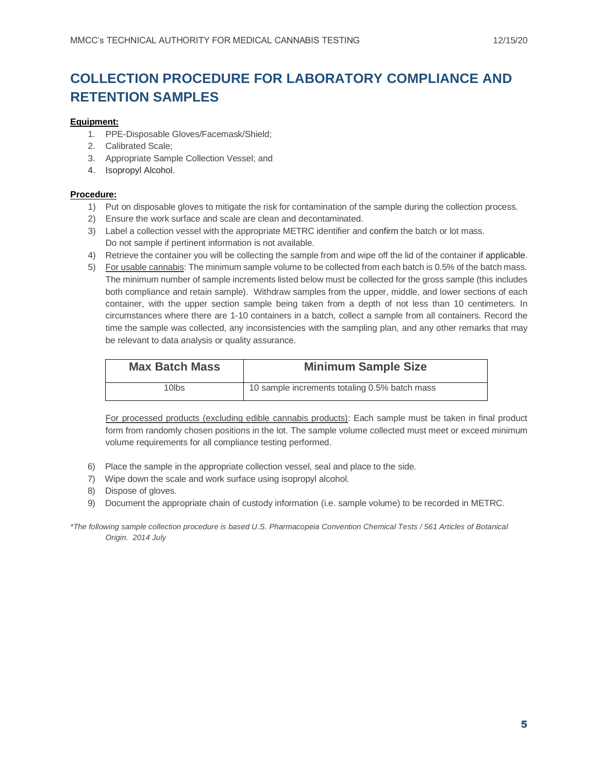# **COLLECTION PROCEDURE FOR LABORATORY COMPLIANCE AND RETENTION SAMPLES**

#### **Equipment:**

- 1. PPE-Disposable Gloves/Facemask/Shield;
- 2. Calibrated Scale;
- 3. Appropriate Sample Collection Vessel; and
- 4. Isopropyl Alcohol.

#### **Procedure:**

- 1) Put on disposable gloves to mitigate the risk for contamination of the sample during the collection process.
- 2) Ensure the work surface and scale are clean and decontaminated.
- 3) Label a collection vessel with the appropriate METRC identifier and confirm the batch or lot mass. Do not sample if pertinent information is not available.
- 4) Retrieve the container you will be collecting the sample from and wipe off the lid of the container if applicable.
- 5) For usable cannabis: The minimum sample volume to be collected from each batch is 0.5% of the batch mass. The minimum number of sample increments listed below must be collected for the gross sample (this includes both compliance and retain sample). Withdraw samples from the upper, middle, and lower sections of each container, with the upper section sample being taken from a depth of not less than 10 centimeters. In circumstances where there are 1-10 containers in a batch, collect a sample from all containers. Record the time the sample was collected, any inconsistencies with the sampling plan, and any other remarks that may be relevant to data analysis or quality assurance.

| <b>Max Batch Mass</b> | <b>Minimum Sample Size</b>                    |
|-----------------------|-----------------------------------------------|
| 10lbs                 | 10 sample increments totaling 0.5% batch mass |

For processed products (excluding edible cannabis products): Each sample must be taken in final product form from randomly chosen positions in the lot. The sample volume collected must meet or exceed minimum volume requirements for all compliance testing performed.

- 6) Place the sample in the appropriate collection vessel, seal and place to the side.
- 7) Wipe down the scale and work surface using isopropyl alcohol.
- 8) Dispose of gloves.
- 9) Document the appropriate chain of custody information (i.e. sample volume) to be recorded in METRC.

*<sup>\*</sup>The following sample collection procedure is based U.S. Pharmacopeia Convention Chemical Tests / 561 Articles of Botanical Origin. 2014 July*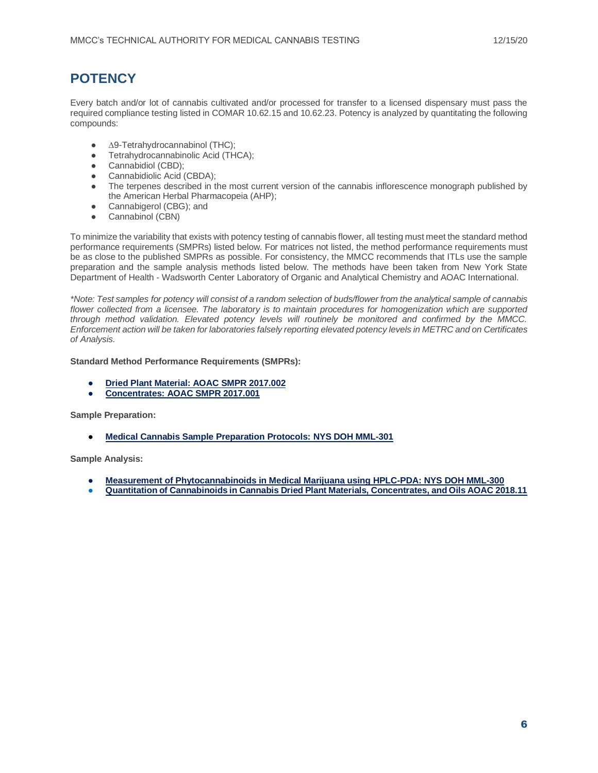# **POTENCY**

Every batch and/or lot of cannabis cultivated and/or processed for transfer to a licensed dispensary must pass the required compliance testing listed in COMAR 10.62.15 and 10.62.23. Potency is analyzed by quantitating the following compounds:

- ∆9-Tetrahydrocannabinol (THC);
- Tetrahydrocannabinolic Acid (THCA);<br>● Cannabidiol (CBD):
- Cannabidiol (CBD);
- Cannabidiolic Acid (CBDA);
- The terpenes described in the most current version of the cannabis inflorescence monograph published by the American Herbal Pharmacopeia (AHP);
- Cannabigerol (CBG); and
- Cannabinol (CBN)

To minimize the variability that exists with potency testing of cannabis flower, all testing must meet the standard method performance requirements (SMPRs) listed below. For matrices not listed, the method performance requirements must be as close to the published SMPRs as possible. For consistency, the MMCC recommends that ITLs use the sample preparation and the sample analysis methods listed below. The methods have been taken from New York State Department of Health - Wadsworth Center Laboratory of Organic and Analytical Chemistry and AOAC International.

*\*Note: Test samples for potency will consist of a random selection of buds/flower from the analytical sample of cannabis flower collected from a licensee. The laboratory is to maintain procedures for homogenization which are supported through method validation. Elevated potency levels will routinely be monitored and confirmed by the MMCC. Enforcement action will be taken for laboratories falsely reporting elevated potency levels in METRC and on Certificates of Analysis.*

#### **Standard Method Performance Requirements (SMPRs):**

- **[Dried Plant Material: AOAC SMPR 2017.002](http://members.aoac.org/aoac_prod_imis/AOAC_Docs/SMPRs/SMPR%202017_002.pdf)**
- **[Concentrates: AOAC SMPR 2017.001](http://members.aoac.org/aoac_prod_imis/AOAC_Docs/SMPRs/SMPR%202017_001.pdf)**

**Sample Preparation:**

**[Medical Cannabis Sample Preparation Protocols:](https://www.wadsworth.org/sites/default/files/WebDoc/NYS%20DOH%20MML-301-05.pdf) NYS DOH MML-301** 

**Sample Analysis:**

- **[Measurement of Phytocannabinoids in Medical Marijuana using HPLC-PDA: NYS DOH MML-300](https://www.wadsworth.org/sites/default/files/WebDoc/NYS%20DOH%20MML-300-05.pdf)**
- **[Quantitation of Cannabinoids in Cannabis Dried Plant Materials, Concentrates, and Oils AOAC 2018.11](http://www.eoma.aoac.org/methods/info.asp?ID=51760)**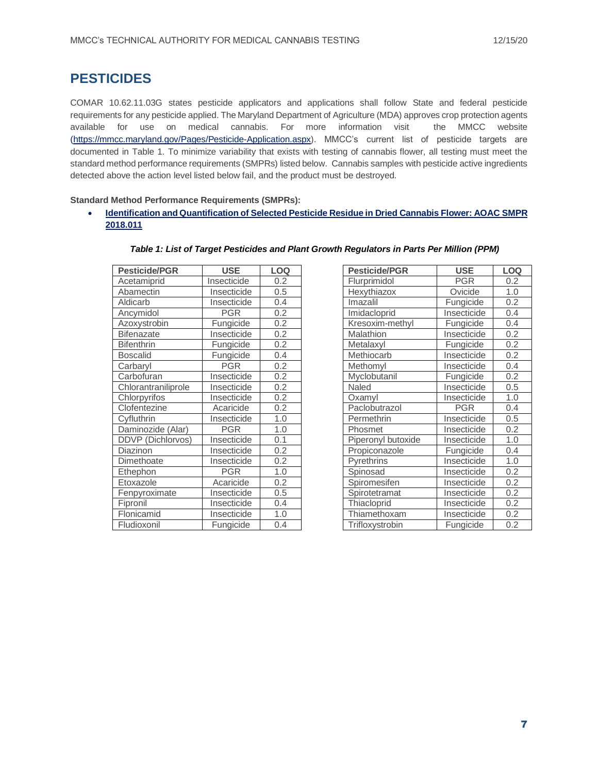# **PESTICIDES**

COMAR 10.62.11.03G states pesticide applicators and applications shall follow State and federal pesticide requirements for any pesticide applied. The Maryland Department of Agriculture (MDA) approves crop protection agents available for use on medical cannabis. For more information visit the MMCC website [\(https://mmcc.maryland.gov/Pages/Pesticide-Application.aspx\)](https://mmcc.maryland.gov/Pages/Pesticide-Application.aspx). MMCC's current list of pesticide targets are documented in Table 1. To minimize variability that exists with testing of cannabis flower, all testing must meet the standard method performance requirements (SMPRs) listed below. Cannabis samples with pesticide active ingredients detected above the action level listed below fail, and the product must be destroyed.

**Standard Method Performance Requirements (SMPRs):**

• **[Identification and Quantification of Selected Pesticide Residue in Dried Cannabis Flower: AOAC SMPR](https://www.aoac.org/wp-content/uploads/2020/01/SMPR2018_011.pdf) [2018.011](https://www.aoac.org/wp-content/uploads/2020/01/SMPR2018_011.pdf)**

| <b>Pesticide/PGR</b> | <b>USE</b>  | <b>LOQ</b> | <b>Pesticide/PGR</b> | <b>USE</b>  | LOQ |
|----------------------|-------------|------------|----------------------|-------------|-----|
| Acetamiprid          | Insecticide | 0.2        | Flurprimidol         | <b>PGR</b>  | 0.2 |
| Abamectin            | Insecticide | 0.5        | Hexythiazox          | Ovicide     | 1.0 |
| Aldicarb             | Insecticide | 0.4        | Imazalil             | Fungicide   | 0.2 |
| Ancymidol            | <b>PGR</b>  | 0.2        | Imidacloprid         | Insecticide | 0.4 |
| Azoxystrobin         | Fungicide   | 0.2        | Kresoxim-methyl      | Fungicide   | 0.4 |
| <b>Bifenazate</b>    | Insecticide | 0.2        | Malathion            | Insecticide | 0.2 |
| <b>Bifenthrin</b>    | Fungicide   | 0.2        | Metalaxyl            | Fungicide   | 0.2 |
| <b>Boscalid</b>      | Fungicide   | 0.4        | Methiocarb           | Insecticide | 0.2 |
| Carbaryl             | <b>PGR</b>  | 0.2        | Methomyl             | Insecticide | 0.4 |
| Carbofuran           | Insecticide | 0.2        | Myclobutanil         | Fungicide   | 0.2 |
| Chlorantraniliprole  | Insecticide | 0.2        | Naled                | Insecticide | 0.5 |
| Chlorpyrifos         | Insecticide | 0.2        | Oxamyl               | Insecticide | 1.0 |
| Clofentezine         | Acaricide   | 0.2        | Paclobutrazol        | <b>PGR</b>  | 0.4 |
| Cyfluthrin           | Insecticide | 1.0        | Permethrin           | Insecticide | 0.5 |
| Daminozide (Alar)    | <b>PGR</b>  | 1.0        | <b>Phosmet</b>       | Insecticide | 0.2 |
| DDVP (Dichlorvos)    | Insecticide | 0.1        | Piperonyl butoxide   | Insecticide | 1.0 |
| Diazinon             | Insecticide | 0.2        | Propiconazole        | Fungicide   | 0.4 |
| Dimethoate           | Insecticide | 0.2        | <b>Pyrethrins</b>    | Insecticide | 1.0 |
| Ethephon             | <b>PGR</b>  | 1.0        | Spinosad             | Insecticide | 0.2 |
| Etoxazole            | Acaricide   | 0.2        | Spiromesifen         | Insecticide | 0.2 |
| Fenpyroximate        | Insecticide | 0.5        | Spirotetramat        | Insecticide | 0.2 |
| Fipronil             | Insecticide | 0.4        | Thiacloprid          | Insecticide | 0.2 |
| Flonicamid           | Insecticide | 1.0        | Thiamethoxam         | Insecticide | 0.2 |
| Fludioxonil          | Fungicide   | 0.4        | Trifloxystrobin      | Fungicide   | 0.2 |

| <b>Pesticide/PGR</b> | <b>USE</b>  | LOQ              |
|----------------------|-------------|------------------|
| Flurprimidol         | <b>PGR</b>  | 0.2              |
| Hexythiazox          | Ovicide     | 1.0              |
| Imazalil             | Fungicide   | $0.\overline{2}$ |
| Imidacloprid         | Insecticide | 0.4              |
| Kresoxim-methyl      | Fungicide   | 0.4              |
| Malathion            | Insecticide | 0.2              |
| Metalaxyl            | Fungicide   | 0.2              |
| Methiocarb           | Insecticide | 0.2              |
| Methomyl             | Insecticide | 0.4              |
| Myclobutanil         | Fungicide   | 0.2              |
| Naled                | Insecticide | 0.5              |
| Oxamyl               | Insecticide | 1.0              |
| Paclobutrazol        | PGR         | 0.4              |
| Permethrin           | Insecticide | 0.5              |
| Phosmet              | Insecticide | 0.2              |
| Piperonyl butoxide   | Insecticide | 1.0              |
| Propiconazole        | Fungicide   | 0.4              |
| Pyrethrins           | Insecticide | 1.0              |
| Spinosad             | Insecticide | 0.2              |
| Spiromesifen         | Insecticide | 0.2              |
| Spirotetramat        | Insecticide | 0.2              |
| Thiacloprid          | Insecticide | 0.2              |
| Thiamethoxam         | Insecticide | $\overline{0.2}$ |
| Trifloxystrobin      | Fungicide   | 0.2              |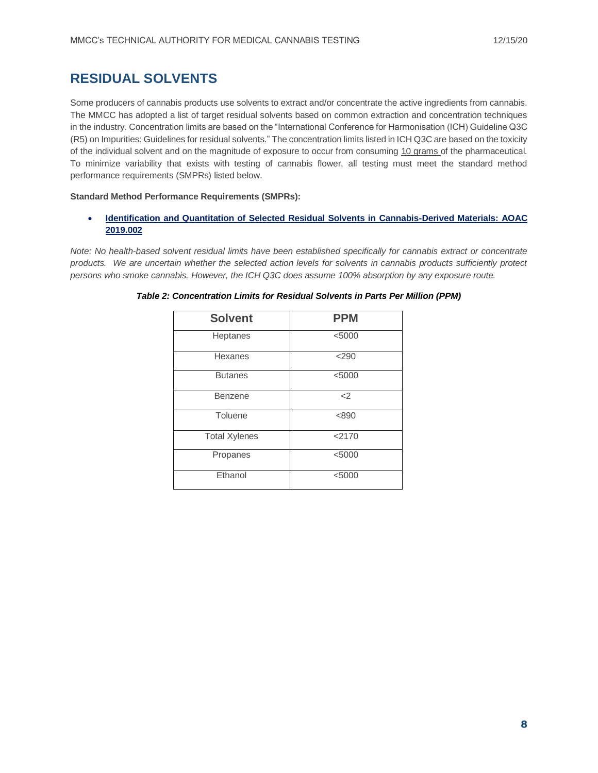# <span id="page-7-0"></span>**RESIDUAL SOLVENTS**

Some producers of cannabis products use solvents to extract and/or concentrate the active ingredients from cannabis. The MMCC has adopted a list of target residual solvents based on common extraction and concentration techniques in the industry. Concentration limits are based on the "International Conference for Harmonisation (ICH) Guideline Q3C (R5) on Impurities: Guidelines for residual solvents." The concentration limits listed in ICH Q3C are based on the toxicity of the individual solvent and on the magnitude of exposure to occur from consuming 10 grams of the pharmaceutical. To minimize variability that exists with testing of cannabis flower, all testing must meet the standard method performance requirements (SMPRs) listed below.

#### **Standard Method Performance Requirements (SMPRs):**

• **[Identification and Quantitation of Selected Residual Solvents in Cannabis-Derived Materials: AOAC](https://www.aoac.org/wp-content/uploads/2019/10/SMPR-2019_002.pdf)  [2019.002](https://www.aoac.org/wp-content/uploads/2019/10/SMPR-2019_002.pdf)**

*Note: No health-based solvent residual limits have been established specifically for cannabis extract or concentrate products. We are uncertain whether the selected action levels for solvents in cannabis products sufficiently protect persons who smoke cannabis. However, the ICH Q3C does assume 100% absorption by any exposure route.* 

<span id="page-7-1"></span>

| <b>Solvent</b>       | <b>PPM</b> |
|----------------------|------------|
| Heptanes             | < 5000     |
| Hexanes              | $<$ 290    |
| <b>Butanes</b>       | < 5000     |
| Benzene              | $<$ 2      |
| Toluene              | < 890      |
| <b>Total Xylenes</b> | < 2170     |
| Propanes             | < 5000     |
| Ethanol              | < 5000     |

*Table 2: Concentration Limits for Residual Solvents in Parts Per Million (PPM)*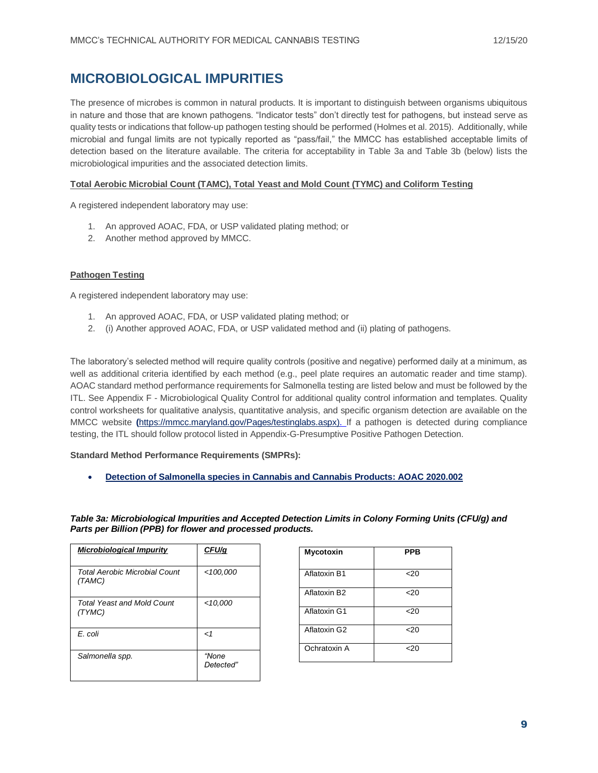# **MICROBIOLOGICAL IMPURITIES**

The presence of microbes is common in natural products. It is important to distinguish between organisms ubiquitous in nature and those that are known pathogens. "Indicator tests" don't directly test for pathogens, but instead serve as quality tests or indications that follow-up pathogen testing should be performed (Holmes et al. 2015). Additionally, while microbial and fungal limits are not typically reported as "pass/fail," the MMCC has established acceptable limits of detection based on the literature available. The criteria for acceptability in Table 3a and Table 3b (below) lists the microbiological impurities and the associated detection limits.

#### **Total Aerobic Microbial Count (TAMC), Total Yeast and Mold Count (TYMC) and Coliform Testing**

A registered independent laboratory may use:

- 1. An approved AOAC, FDA, or USP validated plating method; or
- 2. Another method approved by MMCC.

#### **Pathogen Testing**

A registered independent laboratory may use:

- 1. An approved AOAC, FDA, or USP validated plating method; or
- 2. (i) Another approved AOAC, FDA, or USP validated method and (ii) plating of pathogens.

The laboratory's selected method will require quality controls (positive and negative) performed daily at a minimum, as well as additional criteria identified by each method (e.g., peel plate requires an automatic reader and time stamp). AOAC standard method performance requirements for Salmonella testing are listed below and must be followed by the ITL. See Appendix F - Microbiological Quality Control for additional quality control information and templates. Quality control worksheets for qualitative analysis, quantitative analysis, and specific organism detection are available on the MMCC website **(**[https://mmcc.maryland.gov/Pages/testinglabs.aspx\)](https://mmcc.maryland.gov/Pages/testinglabs.aspx). If a pathogen is detected during compliance testing, the ITL should follow protocol listed in Appendix-G-Presumptive Positive Pathogen Detection.

**Standard Method Performance Requirements (SMPRs):**

• **[Detection of Salmonella species in Cannabis and Cannabis Products: AOAC 2020.002](https://www.aoac.org/wp-content/uploads/2020/07/SMPR-2020_002.pdf)**

*Table 3a: Microbiological Impurities and Accepted Detection Limits in Colony Forming Units (CFU/g) and Parts per Billion (PPB) for flower and processed products.*

| <b>Microbiological Impurity</b>             | CFU/q              |
|---------------------------------------------|--------------------|
| Total Aerobic Microbial Count<br>(TAMC)     | < 100,000          |
| <b>Total Yeast and Mold Count</b><br>(TYMC) | <10.000            |
| E. coli                                     | $\mathbf{<}$ 1     |
| Salmonella spp.                             | "None<br>Detected" |

| <b>Mycotoxin</b>         | <b>PPB</b>      |
|--------------------------|-----------------|
| Aflatoxin B1             | 20              |
| Aflatoxin B <sub>2</sub> | 20 <sub>2</sub> |
| Aflatoxin G1             | 20              |
| Aflatoxin G2             | 20 <sub>2</sub> |
| Ochratoxin A             | $<$ 20          |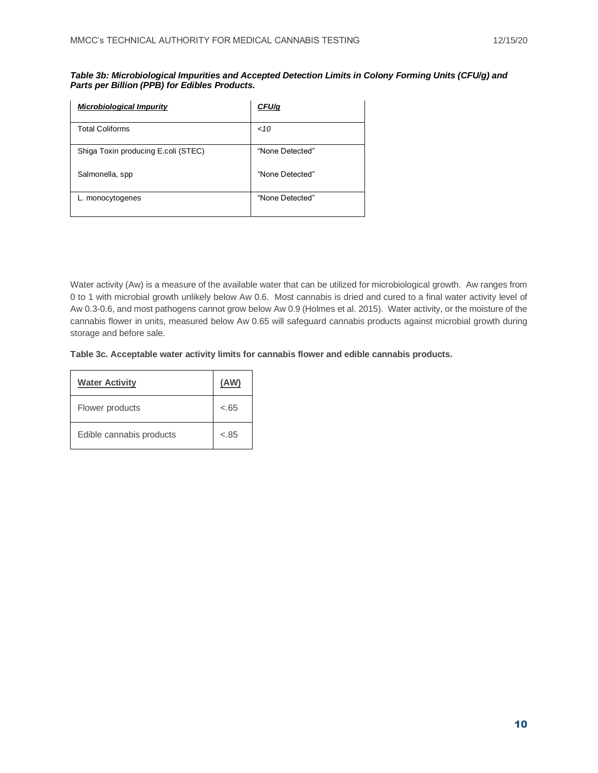| Table 3b: Microbiological Impurities and Accepted Detection Limits in Colony Forming Units (CFU/g) and |  |
|--------------------------------------------------------------------------------------------------------|--|
| Parts per Billion (PPB) for Edibles Products.                                                          |  |

| <b>Microbiological Impurity</b>     | CFU/g           |
|-------------------------------------|-----------------|
| <b>Total Coliforms</b>              | ~10             |
| Shiga Toxin producing E.coli (STEC) | "None Detected" |
| Salmonella, spp                     | "None Detected" |
| L. monocytogenes                    | "None Detected" |

<span id="page-9-0"></span>Water activity (Aw) is a measure of the available water that can be utilized for microbiological growth. Aw ranges from 0 to 1 with microbial growth unlikely below Aw 0.6. Most cannabis is dried and cured to a final water activity level of Aw 0.3-0.6, and most pathogens cannot grow below Aw 0.9 (Holmes et al. 2015). Water activity, or the moisture of the cannabis flower in units, measured below Aw 0.65 will safeguard cannabis products against microbial growth during storage and before sale.

**Table 3c. Acceptable water activity limits for cannabis flower and edible cannabis products.**

| <b>Water Activity</b>    | (AW)   |
|--------------------------|--------|
| Flower products          | $-.65$ |
| Edible cannabis products | $-.85$ |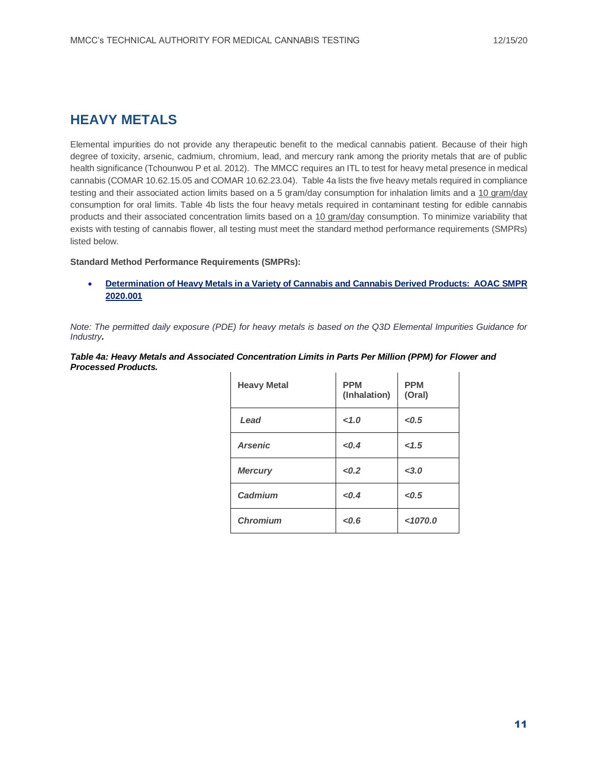# **HEAVY METALS**

Elemental impurities do not provide any therapeutic benefit to the medical cannabis patient. Because of their high degree of toxicity, arsenic, cadmium, chromium, lead, and mercury rank among the priority metals that are of public health significance (Tchounwou P et al. 2012). The MMCC requires an ITL to test for heavy metal presence in medical cannabis (COMAR 10.62.15.05 and COMAR 10.62.23.04). Table 4a lists the five heavy metals required in compliance testing and their associated action limits based on a 5 gram/day consumption for inhalation limits and a 10 gram/day consumption for oral limits. Table 4b lists the four heavy metals required in contaminant testing for edible cannabis products and their associated concentration limits based on a 10 gram/day consumption. To minimize variability that exists with testing of cannabis flower, all testing must meet the standard method performance requirements (SMPRs) listed below.

#### **Standard Method Performance Requirements (SMPRs):**

• **[Determination of Heavy Metals in a Variety of Cannabis and Cannabis Derived Products: AOAC SMPR](https://www.aoac.org/wp-content/uploads/2020/07/SMPR-2020_001.pdf)  [2020.001](https://www.aoac.org/wp-content/uploads/2020/07/SMPR-2020_001.pdf)**

*Note: The permitted daily exposure (PDE) for heavy metals is based on the Q3D Elemental Impurities Guidance for Industry.*

| Table 4a: Heavy Metals and Associated Concentration Limits in Parts Per Million (PPM) for Flower and |  |
|------------------------------------------------------------------------------------------------------|--|
| Processed Products.                                                                                  |  |

| <b>Heavy Metal</b> | <b>PPM</b><br>(Inhalation) | <b>PPM</b><br>(Oral) |
|--------------------|----------------------------|----------------------|
| Lead               | 1.0                        | < 0.5                |
| <b>Arsenic</b>     | < 0.4                      | 1.5                  |
| <b>Mercury</b>     | < 0.2                      | < 3.0                |
| Cadmium            | < 0.4                      | < 0.5                |
| <b>Chromium</b>    | < 0.6                      | < 1070.0             |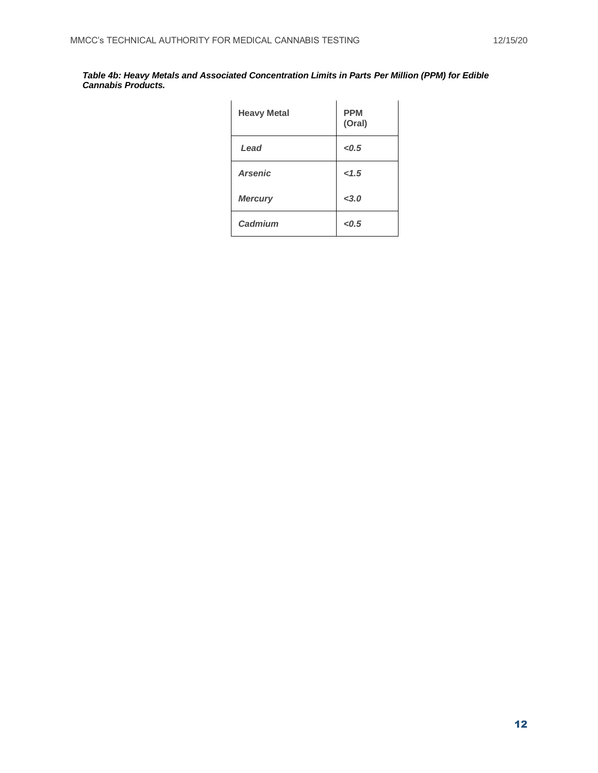<span id="page-11-0"></span>*Table 4b: Heavy Metals and Associated Concentration Limits in Parts Per Million (PPM) for Edible Cannabis Products.*

| <b>Heavy Metal</b> | <b>PPM</b><br>(Oral) |
|--------------------|----------------------|
| Lead               | < 0.5                |
| <b>Arsenic</b>     | < 1.5                |
| <b>Mercury</b>     | < 3.0                |
| Cadmium            | < 0.5                |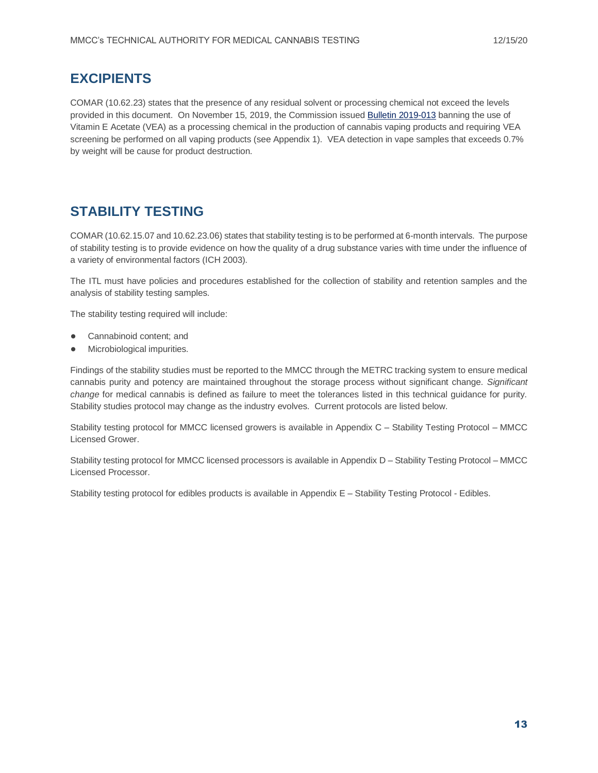# **EXCIPIENTS**

COMAR (10.62.23) states that the presence of any residual solvent or processing chemical not exceed the levels provided in this document. On November 15, 2019, the Commission issued [Bulletin 2019-013](https://mmcc.maryland.gov/Documents/bulletins/Bulletin%202019-013%20-%20Vape%20Cartridge%20Testing%20Requirements%20(Nov.%2015,%202019).pdf) banning the use of Vitamin E Acetate (VEA) as a processing chemical in the production of cannabis vaping products and requiring VEA screening be performed on all vaping products (see Appendix 1). VEA detection in vape samples that exceeds 0.7% by weight will be cause for product destruction.

# **STABILITY TESTING**

COMAR (10.62.15.07 and 10.62.23.06) states that stability testing is to be performed at 6-month intervals. The purpose of stability testing is to provide evidence on how the quality of a drug substance varies with time under the influence of a variety of environmental factors (ICH 2003).

The ITL must have policies and procedures established for the collection of stability and retention samples and the analysis of stability testing samples.

The stability testing required will include:

- Cannabinoid content: and
- Microbiological impurities.

Findings of the stability studies must be reported to the MMCC through the METRC tracking system to ensure medical cannabis purity and potency are maintained throughout the storage process without significant change. *Significant change* for medical cannabis is defined as failure to meet the tolerances listed in this technical guidance for purity. Stability studies protocol may change as the industry evolves. Current protocols are listed below.

Stability testing protocol for MMCC licensed growers is available in Appendix C – Stability Testing Protocol – MMCC Licensed Grower.

Stability testing protocol for MMCC licensed processors is available in Appendix D – Stability Testing Protocol – MMCC Licensed Processor.

Stability testing protocol for edibles products is available in Appendix E – Stability Testing Protocol - Edibles.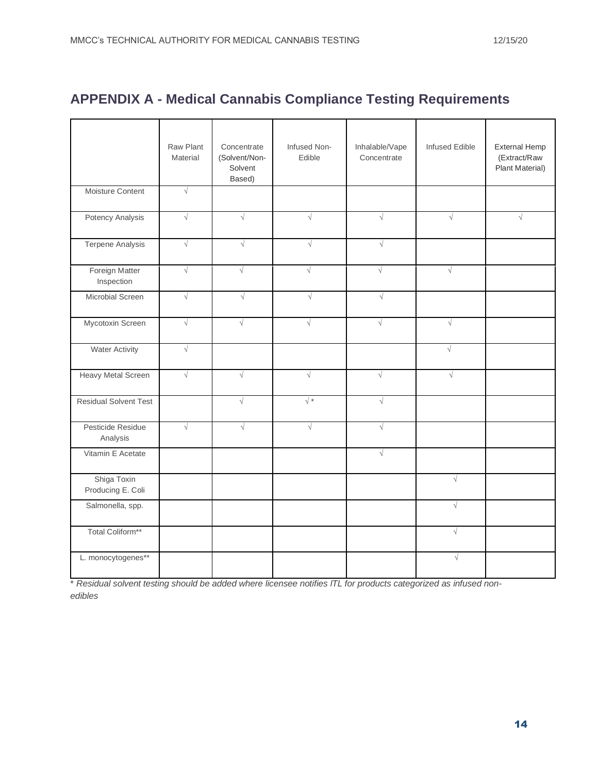# **APPENDIX A - Medical Cannabis Compliance Testing Requirements**

|                                  | Raw Plant<br>Material | Concentrate<br>(Solvent/Non-<br>Solvent<br>Based) | Infused Non-<br>Edible | Inhalable/Vape<br>Concentrate | <b>Infused Edible</b> | <b>External Hemp</b><br>(Extract/Raw<br>Plant Material) |  |  |  |  |  |  |
|----------------------------------|-----------------------|---------------------------------------------------|------------------------|-------------------------------|-----------------------|---------------------------------------------------------|--|--|--|--|--|--|
| Moisture Content                 | $\sqrt{}$             |                                                   |                        |                               |                       |                                                         |  |  |  |  |  |  |
| Potency Analysis                 | $\sqrt{}$             | $\sqrt{ }$                                        | $\sqrt{}$              | $\sqrt{}$<br>$\sqrt{ }$       |                       |                                                         |  |  |  |  |  |  |
| Terpene Analysis                 | $\sqrt{ }$            | $\sqrt{}$                                         | $\sqrt{ }$             | $\sqrt{ }$                    |                       |                                                         |  |  |  |  |  |  |
| Foreign Matter<br>Inspection     | $\sqrt{}$             | $\sqrt{ }$                                        | $\sqrt{ }$             | $\sqrt{ }$                    | $\sqrt{}$             |                                                         |  |  |  |  |  |  |
| Microbial Screen                 | $\sqrt{2}$            | $\sqrt{ }$                                        | $\sqrt{2}$             | $\sqrt{}$                     |                       |                                                         |  |  |  |  |  |  |
| Mycotoxin Screen                 | $\sqrt{ }$            | $\sqrt{}$                                         | $\sqrt{ }$             | $\sqrt{ }$                    | $\sqrt{}$             |                                                         |  |  |  |  |  |  |
| <b>Water Activity</b>            | $\sqrt{}$             |                                                   |                        |                               | $\sqrt{}$             |                                                         |  |  |  |  |  |  |
| Heavy Metal Screen               | $\sqrt{}$             | $\sqrt{}$                                         | $\sqrt{}$              | $\sqrt{}$                     | $\sqrt{}$             |                                                         |  |  |  |  |  |  |
| <b>Residual Solvent Test</b>     |                       | $\sqrt{}$                                         | $\sqrt{*}$             | $\sqrt{2}$                    |                       |                                                         |  |  |  |  |  |  |
| Pesticide Residue<br>Analysis    | $\sqrt{}$             | $\sqrt{ }$                                        | $\sqrt{}$              | $\sqrt{}$                     |                       |                                                         |  |  |  |  |  |  |
| Vitamin E Acetate                |                       |                                                   |                        | $\sqrt{}$                     |                       |                                                         |  |  |  |  |  |  |
| Shiga Toxin<br>Producing E. Coli |                       |                                                   |                        |                               | $\sqrt{ }$            |                                                         |  |  |  |  |  |  |
| Salmonella, spp.                 |                       |                                                   |                        |                               | $\sqrt{ }$            |                                                         |  |  |  |  |  |  |
| Total Coliform**                 |                       |                                                   |                        |                               | $\sqrt{ }$            |                                                         |  |  |  |  |  |  |
| L. monocytogenes**               |                       |                                                   |                        |                               | $\sqrt{}$             |                                                         |  |  |  |  |  |  |

\* *Residual solvent testing should be added where licensee notifies lTL for products categorized as infused nonedibles*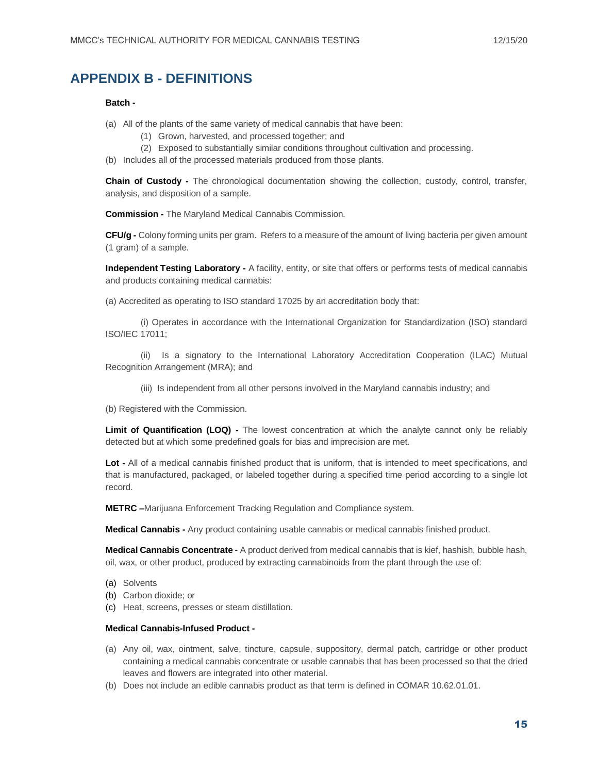# **APPENDIX B - DEFINITIONS**

#### **Batch -**

- (a) All of the plants of the same variety of medical cannabis that have been:
	- (1) Grown, harvested, and processed together; and
	- (2) Exposed to substantially similar conditions throughout cultivation and processing.
- (b) Includes all of the processed materials produced from those plants.

**Chain of Custody -** The chronological documentation showing the collection, custody, control, transfer, analysis, and disposition of a sample.

**Commission -** The Maryland Medical Cannabis Commission.

**CFU/g -** Colony forming units per gram. Refers to a measure of the amount of living bacteria per given amount (1 gram) of a sample.

**Independent Testing Laboratory -** A facility, entity, or site that offers or performs tests of medical cannabis and products containing medical cannabis:

(a) Accredited as operating to ISO standard 17025 by an accreditation body that:

(i) Operates in accordance with the International Organization for Standardization (ISO) standard ISO/IEC 17011;

(ii) Is a signatory to the International Laboratory Accreditation Cooperation (ILAC) Mutual Recognition Arrangement (MRA); and

(iii) Is independent from all other persons involved in the Maryland cannabis industry; and

(b) Registered with the Commission.

**Limit of Quantification (LOQ) -** The lowest concentration at which the analyte cannot only be reliably detected but at which some predefined goals for bias and imprecision are met.

**Lot -** All of a medical cannabis finished product that is uniform, that is intended to meet specifications, and that is manufactured, packaged, or labeled together during a specified time period according to a single lot record.

**METRC –**Marijuana Enforcement Tracking Regulation and Compliance system.

**Medical Cannabis -** Any product containing usable cannabis or medical cannabis finished product.

**Medical Cannabis Concentrate** - A product derived from medical cannabis that is kief, hashish, bubble hash, oil, wax, or other product, produced by extracting cannabinoids from the plant through the use of:

- (a) Solvents
- (b) Carbon dioxide; or
- (c) Heat, screens, presses or steam distillation.

#### **Medical Cannabis-Infused Product -**

- (a) Any oil, wax, ointment, salve, tincture, capsule, suppository, dermal patch, cartridge or other product containing a medical cannabis concentrate or usable cannabis that has been processed so that the dried leaves and flowers are integrated into other material.
- (b) Does not include an edible cannabis product as that term is defined in COMAR 10.62.01.01.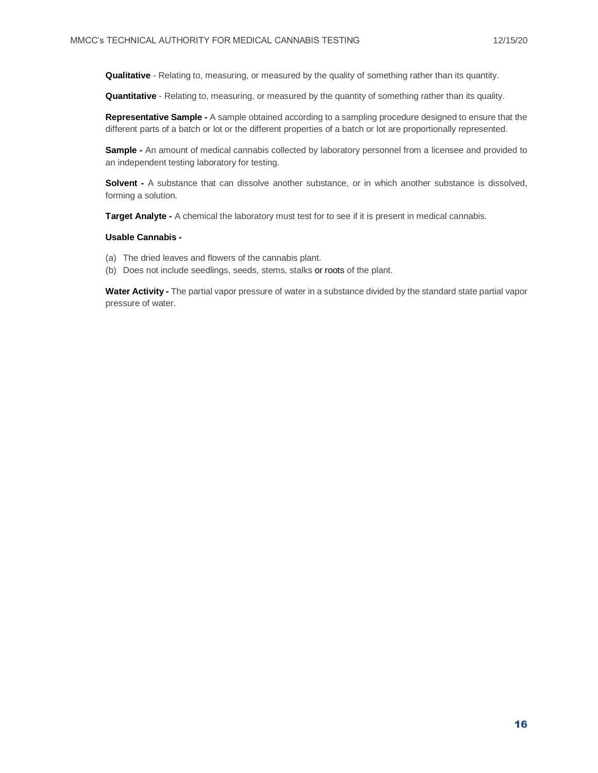**Qualitative** - Relating to, measuring, or measured by the quality of something rather than its quantity.

**Quantitative** - Relating to, measuring, or measured by the quantity of something rather than its quality.

**Representative Sample -** A sample obtained according to a sampling procedure designed to ensure that the different parts of a batch or lot or the different properties of a batch or lot are proportionally represented.

**Sample -** An amount of medical cannabis collected by laboratory personnel from a licensee and provided to an independent testing laboratory for testing.

**Solvent -** A substance that can dissolve another substance, or in which another substance is dissolved, forming a solution.

**Target Analyte -** A chemical the laboratory must test for to see if it is present in medical cannabis.

#### **Usable Cannabis -**

- (a) The dried leaves and flowers of the cannabis plant.
- (b) Does not include seedlings, seeds, stems, stalks or roots of the plant.

**Water Activity -** The partial vapor pressure of water in a substance divided by the standard state partial vapor pressure of water.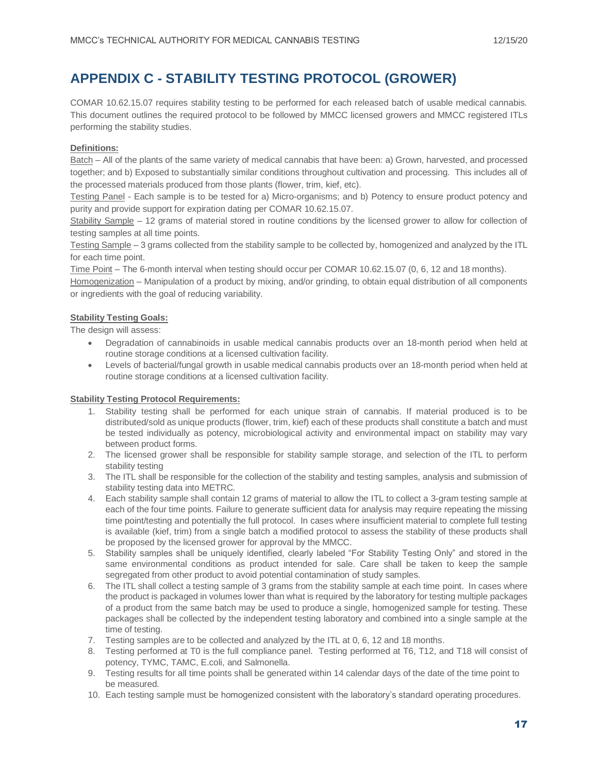# **APPENDIX C - STABILITY TESTING PROTOCOL (GROWER)**

COMAR 10.62.15.07 requires stability testing to be performed for each released batch of usable medical cannabis. This document outlines the required protocol to be followed by MMCC licensed growers and MMCC registered ITLs performing the stability studies.

#### **Definitions:**

Batch – All of the plants of the same variety of medical cannabis that have been: a) Grown, harvested, and processed together; and b) Exposed to substantially similar conditions throughout cultivation and processing. This includes all of the processed materials produced from those plants (flower, trim, kief, etc).

Testing Panel - Each sample is to be tested for a) Micro-organisms; and b) Potency to ensure product potency and purity and provide support for expiration dating per COMAR 10.62.15.07.

Stability Sample – 12 grams of material stored in routine conditions by the licensed grower to allow for collection of testing samples at all time points.

Testing Sample – 3 grams collected from the stability sample to be collected by, homogenized and analyzed by the ITL for each time point.

Time Point – The 6-month interval when testing should occur per COMAR 10.62.15.07 (0, 6, 12 and 18 months).

Homogenization – Manipulation of a product by mixing, and/or grinding, to obtain equal distribution of all components or ingredients with the goal of reducing variability.

#### **Stability Testing Goals:**

The design will assess:

- Degradation of cannabinoids in usable medical cannabis products over an 18-month period when held at routine storage conditions at a licensed cultivation facility.
- Levels of bacterial/fungal growth in usable medical cannabis products over an 18-month period when held at routine storage conditions at a licensed cultivation facility.

#### **Stability Testing Protocol Requirements:**

- 1. Stability testing shall be performed for each unique strain of cannabis. If material produced is to be distributed/sold as unique products (flower, trim, kief) each of these products shall constitute a batch and must be tested individually as potency, microbiological activity and environmental impact on stability may vary between product forms.
- 2. The licensed grower shall be responsible for stability sample storage, and selection of the ITL to perform stability testing
- 3. The ITL shall be responsible for the collection of the stability and testing samples, analysis and submission of stability testing data into METRC.
- 4. Each stability sample shall contain 12 grams of material to allow the ITL to collect a 3-gram testing sample at each of the four time points. Failure to generate sufficient data for analysis may require repeating the missing time point/testing and potentially the full protocol. In cases where insufficient material to complete full testing is available (kief, trim) from a single batch a modified protocol to assess the stability of these products shall be proposed by the licensed grower for approval by the MMCC.
- 5. Stability samples shall be uniquely identified, clearly labeled "For Stability Testing Only" and stored in the same environmental conditions as product intended for sale. Care shall be taken to keep the sample segregated from other product to avoid potential contamination of study samples.
- 6. The ITL shall collect a testing sample of 3 grams from the stability sample at each time point. In cases where the product is packaged in volumes lower than what is required by the laboratory for testing multiple packages of a product from the same batch may be used to produce a single, homogenized sample for testing. These packages shall be collected by the independent testing laboratory and combined into a single sample at the time of testing.
- 7. Testing samples are to be collected and analyzed by the ITL at 0, 6, 12 and 18 months.
- 8. Testing performed at T0 is the full compliance panel. Testing performed at T6, T12, and T18 will consist of potency, TYMC, TAMC, E.coli, and Salmonella.
- 9. Testing results for all time points shall be generated within 14 calendar days of the date of the time point to be measured.
- 10. Each testing sample must be homogenized consistent with the laboratory's standard operating procedures.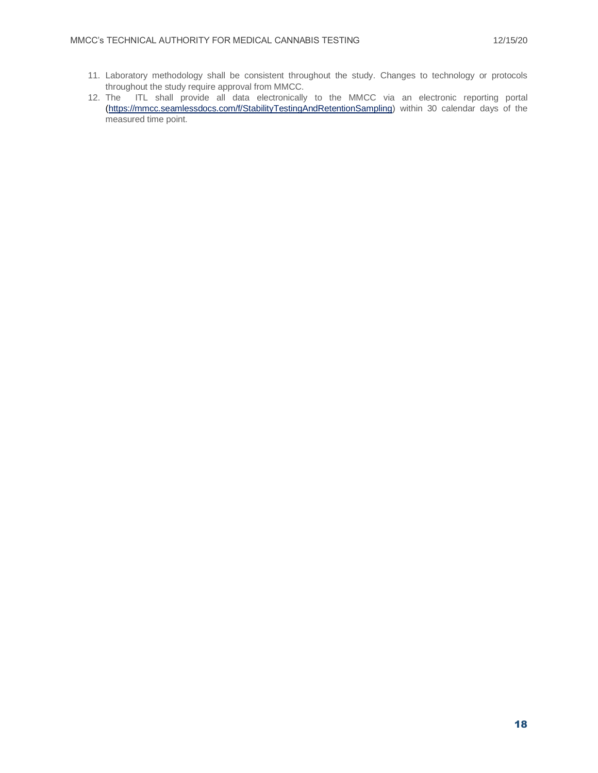- 11. Laboratory methodology shall be consistent throughout the study. Changes to technology or protocols throughout the study require approval from MMCC.
- 12. The ITL shall provide all data electronically to the MMCC via an electronic reporting portal [\(https://mmcc.seamlessdocs.com/f/StabilityTestingAndRetentionSampling\)](https://mmcc.seamlessdocs.com/f/StabilityTestingAndRetentionSampling) within 30 calendar days of the measured time point.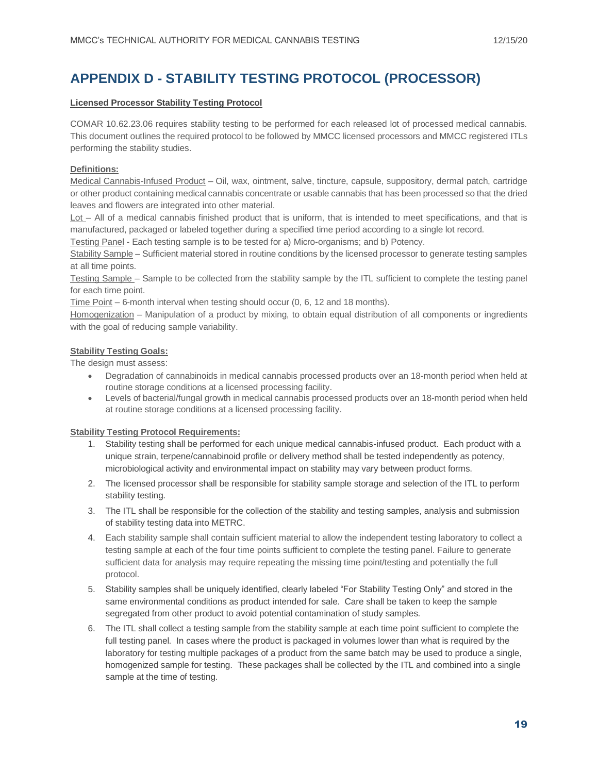# **APPENDIX D - STABILITY TESTING PROTOCOL (PROCESSOR)**

#### **Licensed Processor Stability Testing Protocol**

COMAR 10.62.23.06 requires stability testing to be performed for each released lot of processed medical cannabis. This document outlines the required protocol to be followed by MMCC licensed processors and MMCC registered ITLs performing the stability studies.

#### **Definitions:**

Medical Cannabis-Infused Product – Oil, wax, ointment, salve, tincture, capsule, suppository, dermal patch, cartridge or other product containing medical cannabis concentrate or usable cannabis that has been processed so that the dried leaves and flowers are integrated into other material.

Lot – All of a medical cannabis finished product that is uniform, that is intended to meet specifications, and that is manufactured, packaged or labeled together during a specified time period according to a single lot record.

Testing Panel - Each testing sample is to be tested for a) Micro-organisms; and b) Potency.

Stability Sample – Sufficient material stored in routine conditions by the licensed processor to generate testing samples at all time points.

Testing Sample – Sample to be collected from the stability sample by the ITL sufficient to complete the testing panel for each time point.

Time Point – 6-month interval when testing should occur (0, 6, 12 and 18 months).

Homogenization – Manipulation of a product by mixing, to obtain equal distribution of all components or ingredients with the goal of reducing sample variability.

#### **Stability Testing Goals:**

The design must assess:

- Degradation of cannabinoids in medical cannabis processed products over an 18-month period when held at routine storage conditions at a licensed processing facility.
- Levels of bacterial/fungal growth in medical cannabis processed products over an 18-month period when held at routine storage conditions at a licensed processing facility.

#### **Stability Testing Protocol Requirements:**

- 1. Stability testing shall be performed for each unique medical cannabis-infused product. Each product with a unique strain, terpene/cannabinoid profile or delivery method shall be tested independently as potency, microbiological activity and environmental impact on stability may vary between product forms.
- 2. The licensed processor shall be responsible for stability sample storage and selection of the ITL to perform stability testing.
- 3. The ITL shall be responsible for the collection of the stability and testing samples, analysis and submission of stability testing data into METRC.
- 4. Each stability sample shall contain sufficient material to allow the independent testing laboratory to collect a testing sample at each of the four time points sufficient to complete the testing panel. Failure to generate sufficient data for analysis may require repeating the missing time point/testing and potentially the full protocol.
- 5. Stability samples shall be uniquely identified, clearly labeled "For Stability Testing Only" and stored in the same environmental conditions as product intended for sale. Care shall be taken to keep the sample segregated from other product to avoid potential contamination of study samples.
- 6. The ITL shall collect a testing sample from the stability sample at each time point sufficient to complete the full testing panel. In cases where the product is packaged in volumes lower than what is required by the laboratory for testing multiple packages of a product from the same batch may be used to produce a single, homogenized sample for testing. These packages shall be collected by the ITL and combined into a single sample at the time of testing.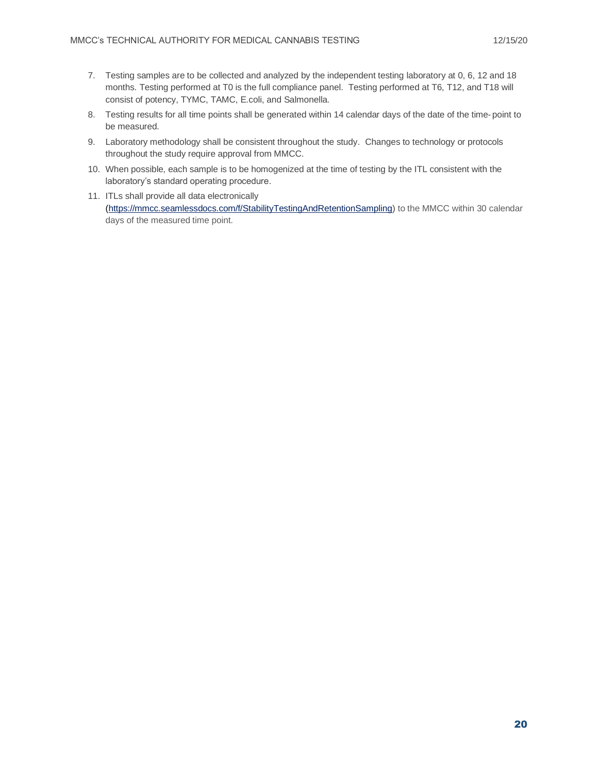- 7. Testing samples are to be collected and analyzed by the independent testing laboratory at 0, 6, 12 and 18 months. Testing performed at T0 is the full compliance panel. Testing performed at T6, T12, and T18 will consist of potency, TYMC, TAMC, E.coli, and Salmonella.
- 8. Testing results for all time points shall be generated within 14 calendar days of the date of the time- point to be measured.
- 9. Laboratory methodology shall be consistent throughout the study. Changes to technology or protocols throughout the study require approval from MMCC.
- 10. When possible, each sample is to be homogenized at the time of testing by the ITL consistent with the laboratory's standard operating procedure.
- 11. ITLs shall provide all data electronically [\(https://mmcc.seamlessdocs.com/f/StabilityTestingAndRetentionSampling\)](https://mmcc.seamlessdocs.com/f/StabilityTestingAndRetentionSampling) to the MMCC within 30 calendar days of the measured time point.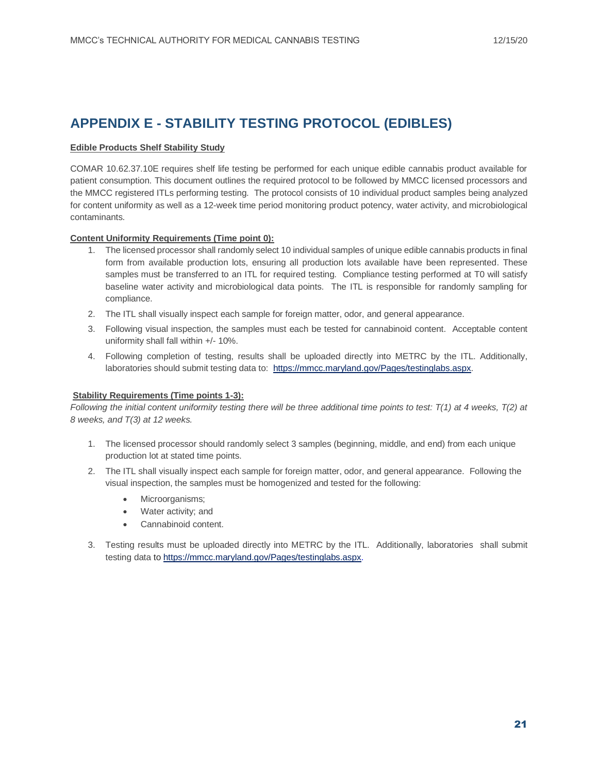# **APPENDIX E - STABILITY TESTING PROTOCOL (EDIBLES)**

#### **Edible Products Shelf Stability Study**

COMAR 10.62.37.10E requires shelf life testing be performed for each unique edible cannabis product available for patient consumption. This document outlines the required protocol to be followed by MMCC licensed processors and the MMCC registered ITLs performing testing. The protocol consists of 10 individual product samples being analyzed for content uniformity as well as a 12-week time period monitoring product potency, water activity, and microbiological contaminants.

#### **Content Uniformity Requirements (Time point 0):**

- 1. The licensed processor shall randomly select 10 individual samples of unique edible cannabis products in final form from available production lots, ensuring all production lots available have been represented. These samples must be transferred to an ITL for required testing. Compliance testing performed at T0 will satisfy baseline water activity and microbiological data points. The ITL is responsible for randomly sampling for compliance.
- 2. The ITL shall visually inspect each sample for foreign matter, odor, and general appearance.
- 3. Following visual inspection, the samples must each be tested for cannabinoid content. Acceptable content uniformity shall fall within +/- 10%.
- 4. Following completion of testing, results shall be uploaded directly into METRC by the ITL. Additionally, laboratories should submit testing data to: [https://mmcc.maryland.gov/Pages/testinglabs.aspx.](https://mmcc.maryland.gov/Pages/testinglabs.aspx)

#### **Stability Requirements (Time points 1-3):**

*Following the initial content uniformity testing there will be three additional time points to test: T(1) at 4 weeks, T(2) at 8 weeks, and T(3) at 12 weeks.*

- 1. The licensed processor should randomly select 3 samples (beginning, middle, and end) from each unique production lot at stated time points.
- 2. The ITL shall visually inspect each sample for foreign matter, odor, and general appearance. Following the visual inspection, the samples must be homogenized and tested for the following:
	- Microorganisms;
	- Water activity; and
	- Cannabinoid content.
- 3. Testing results must be uploaded directly into METRC by the ITL. Additionally, laboratories shall submit testing data to [https://mmcc.maryland.gov/Pages/testinglabs.aspx.](https://mmcc.maryland.gov/Pages/testinglabs.aspx)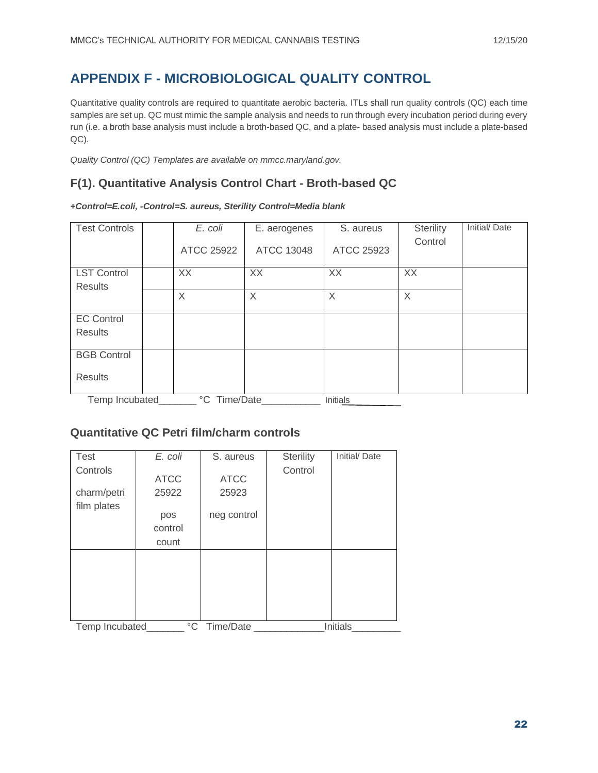# **APPENDIX F - MICROBIOLOGICAL QUALITY CONTROL**

Quantitative quality controls are required to quantitate aerobic bacteria. ITLs shall run quality controls (QC) each time samples are set up. QC must mimic the sample analysis and needs to run through every incubation period during every run (i.e. a broth base analysis must include a broth-based QC, and a plate- based analysis must include a plate-based QC).

*Quality Control (QC) Templates are available on mmcc.maryland.gov.*

# **F(1). Quantitative Analysis Control Chart - Broth-based QC**

*+Control=E.coli, -Control=S. aureus, Sterility Control=Media blank*

| <b>Test Controls</b> | E. coli      | E. aerogenes | S. aureus       | <b>Sterility</b> | Initial/Date |
|----------------------|--------------|--------------|-----------------|------------------|--------------|
|                      | ATCC 25922   | ATCC 13048   | ATCC 25923      | Control          |              |
| <b>LST Control</b>   | XX           | XX           | XX              | XX               |              |
| <b>Results</b>       |              |              |                 |                  |              |
|                      | X            | $\times$     | X               | X                |              |
|                      |              |              |                 |                  |              |
| <b>EC Control</b>    |              |              |                 |                  |              |
| <b>Results</b>       |              |              |                 |                  |              |
|                      |              |              |                 |                  |              |
| <b>BGB Control</b>   |              |              |                 |                  |              |
|                      |              |              |                 |                  |              |
| <b>Results</b>       |              |              |                 |                  |              |
|                      |              |              |                 |                  |              |
| Temp Incubated       | °C Time/Date |              | <b>Initials</b> |                  |              |

### **Quantitative QC Petri film/charm controls**

| <b>Test</b>    | E. coli     | S. aureus    | <b>Sterility</b> | Initial/Date    |
|----------------|-------------|--------------|------------------|-----------------|
| Controls       |             |              | Control          |                 |
|                | <b>ATCC</b> | <b>ATCC</b>  |                  |                 |
| charm/petri    | 25922       | 25923        |                  |                 |
| film plates    |             |              |                  |                 |
|                | pos         | neg control  |                  |                 |
|                | control     |              |                  |                 |
|                | count       |              |                  |                 |
|                |             |              |                  |                 |
|                |             |              |                  |                 |
|                |             |              |                  |                 |
|                |             |              |                  |                 |
|                |             |              |                  |                 |
|                |             |              |                  |                 |
| Temp Incubated |             | °C Time/Date |                  | <b>Initials</b> |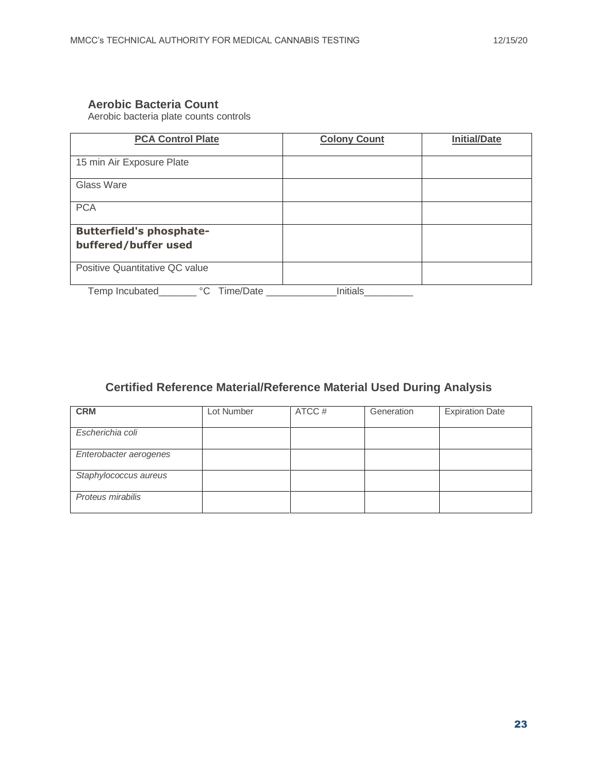### **Aerobic Bacteria Count**

Aerobic bacteria plate counts controls

| <b>PCA Control Plate</b>                                | <b>Colony Count</b> | <b>Initial/Date</b> |
|---------------------------------------------------------|---------------------|---------------------|
| 15 min Air Exposure Plate                               |                     |                     |
| Glass Ware                                              |                     |                     |
| <b>PCA</b>                                              |                     |                     |
| <b>Butterfield's phosphate-</b><br>buffered/buffer used |                     |                     |
| Positive Quantitative QC value                          |                     |                     |
| °C Time/Date<br>Temp Incubated                          | Initials            |                     |

# **Certified Reference Material/Reference Material Used During Analysis**

| <b>CRM</b>             | Lot Number | ATCC # | Generation | <b>Expiration Date</b> |
|------------------------|------------|--------|------------|------------------------|
| Escherichia coli       |            |        |            |                        |
| Enterobacter aerogenes |            |        |            |                        |
| Staphylococcus aureus  |            |        |            |                        |
| Proteus mirabilis      |            |        |            |                        |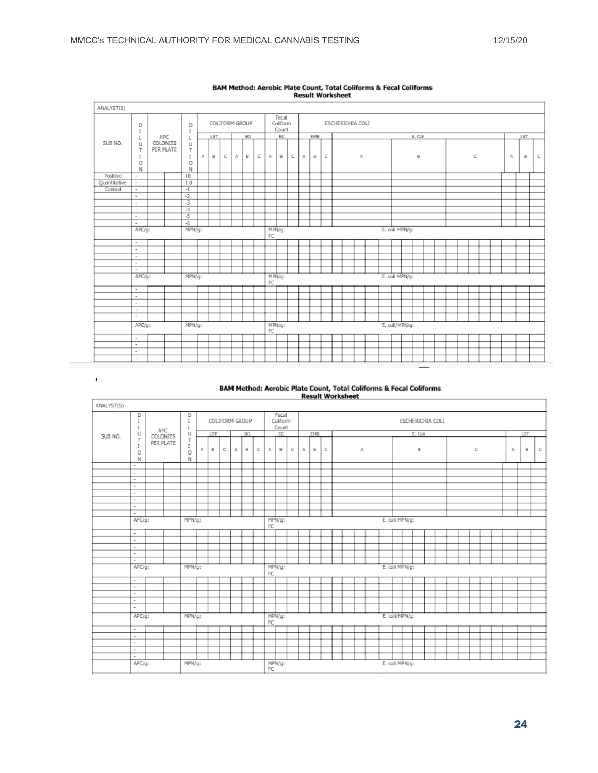$\mathbf{r}$ 

r

| ANALYST(S)   |                                              |            |                       |                       |    |                       |   |   |    |   |    |                            |   |                |     |   |  |  |                         |  |                |   |  |         |  |  |  |  |  |   |  |  |     |        |  |
|--------------|----------------------------------------------|------------|-----------------------|-----------------------|----|-----------------------|---|---|----|---|----|----------------------------|---|----------------|-----|---|--|--|-------------------------|--|----------------|---|--|---------|--|--|--|--|--|---|--|--|-----|--------|--|
|              | D<br>I                                       |            |                       | D<br>I                |    | <b>COLIFORM GROUP</b> |   |   |    |   |    | Fecal<br>Coliform<br>Count |   |                |     |   |  |  | <b>ESCHERICHIA COLI</b> |  |                |   |  |         |  |  |  |  |  |   |  |  |     |        |  |
|              | L                                            | <b>APC</b> |                       | L                     |    | LST                   |   |   | BG |   |    | EC                         |   |                | EMB |   |  |  |                         |  |                |   |  | E. Coll |  |  |  |  |  |   |  |  | LST |        |  |
| SUB NO.      | U<br>т<br>T<br>o<br>N                        |            | COLONIES<br>PER PLATE | U<br>Ŧ<br>T<br>۰<br>N | A  | в                     | c | А | B  | с | А  | в                          | c | А              | B   | c |  |  | А                       |  |                | В |  |         |  |  |  |  |  | c |  |  |     | c<br>в |  |
| Positive     | ÷                                            |            |                       | 10                    |    |                       |   |   |    |   |    |                            |   |                |     |   |  |  |                         |  |                |   |  |         |  |  |  |  |  |   |  |  |     |        |  |
| Quantitative | $\sim$                                       |            |                       | 1.0                   |    |                       |   |   |    |   |    |                            |   |                |     |   |  |  |                         |  |                |   |  |         |  |  |  |  |  |   |  |  |     |        |  |
| Control      | $\sim$                                       |            |                       | $-1$                  |    |                       |   |   |    |   |    |                            |   |                |     |   |  |  |                         |  |                |   |  |         |  |  |  |  |  |   |  |  |     |        |  |
|              | $\sim$                                       |            |                       | $-2$                  |    |                       |   |   |    |   |    |                            |   |                |     |   |  |  |                         |  |                |   |  |         |  |  |  |  |  |   |  |  |     |        |  |
|              | ٠                                            |            |                       | $\overline{3}$        |    |                       |   |   |    |   |    |                            |   |                |     |   |  |  |                         |  |                |   |  |         |  |  |  |  |  |   |  |  |     |        |  |
|              | $\sim$                                       |            |                       | $-4$                  |    |                       |   |   |    |   |    |                            |   |                |     |   |  |  |                         |  |                |   |  |         |  |  |  |  |  |   |  |  |     |        |  |
|              | $\sim$                                       |            |                       | $-5$                  |    |                       |   |   |    |   |    |                            |   |                |     |   |  |  |                         |  |                |   |  |         |  |  |  |  |  |   |  |  |     |        |  |
|              | $\sim$                                       |            |                       | $-6$                  |    |                       |   |   |    |   |    |                            |   |                |     |   |  |  |                         |  |                |   |  |         |  |  |  |  |  |   |  |  |     |        |  |
|              | E. coli MPN/g:<br>APC/g:<br>MPN/g:<br>MPN/g: |            |                       |                       |    |                       |   |   |    |   |    |                            |   |                |     |   |  |  |                         |  |                |   |  |         |  |  |  |  |  |   |  |  |     |        |  |
|              |                                              |            |                       |                       | FC |                       |   |   |    |   |    |                            |   |                |     |   |  |  |                         |  |                |   |  |         |  |  |  |  |  |   |  |  |     |        |  |
|              | $\sim$                                       |            |                       |                       |    |                       |   |   |    |   |    |                            |   |                |     |   |  |  |                         |  |                |   |  |         |  |  |  |  |  |   |  |  |     |        |  |
|              | $\sim$                                       |            |                       |                       |    |                       |   |   |    |   |    |                            |   |                |     |   |  |  |                         |  |                |   |  |         |  |  |  |  |  |   |  |  |     |        |  |
|              | $\sim$                                       |            |                       |                       |    |                       |   |   |    |   |    |                            |   |                |     |   |  |  |                         |  |                |   |  |         |  |  |  |  |  |   |  |  |     |        |  |
|              | $\sim$                                       |            |                       |                       |    |                       |   |   |    |   |    |                            |   |                |     |   |  |  |                         |  |                |   |  |         |  |  |  |  |  |   |  |  |     |        |  |
|              | $\sim$                                       |            |                       |                       |    |                       |   |   |    |   |    |                            |   |                |     |   |  |  |                         |  |                |   |  |         |  |  |  |  |  |   |  |  |     |        |  |
|              | APC/g:                                       |            |                       | MPN/g:                |    |                       |   |   |    |   | FC | MPN/g:                     |   |                |     |   |  |  |                         |  | E. coli MPN/g: |   |  |         |  |  |  |  |  |   |  |  |     |        |  |
|              | $\sim$                                       |            |                       |                       |    |                       |   |   |    |   |    |                            |   |                |     |   |  |  |                         |  |                |   |  |         |  |  |  |  |  |   |  |  |     |        |  |
|              | $\sim$                                       |            |                       |                       |    |                       |   |   |    |   |    |                            |   |                |     |   |  |  |                         |  |                |   |  |         |  |  |  |  |  |   |  |  |     |        |  |
|              | ٠                                            |            |                       |                       |    |                       |   |   |    |   |    |                            |   |                |     |   |  |  |                         |  |                |   |  |         |  |  |  |  |  |   |  |  |     |        |  |
|              | $\sim$                                       |            |                       |                       |    |                       |   |   |    |   |    |                            |   |                |     |   |  |  |                         |  |                |   |  |         |  |  |  |  |  |   |  |  |     |        |  |
|              | $\sim$                                       |            |                       |                       |    |                       |   |   |    |   |    |                            |   |                |     |   |  |  |                         |  |                |   |  |         |  |  |  |  |  |   |  |  |     |        |  |
|              | APC/g:                                       |            |                       | MPN/g:                |    |                       |   |   |    |   | FC | MPN/g:                     |   | E. coli/MPN/g: |     |   |  |  |                         |  |                |   |  |         |  |  |  |  |  |   |  |  |     |        |  |
|              | $\sim$                                       |            |                       |                       |    |                       |   |   |    |   |    |                            |   |                |     |   |  |  |                         |  |                |   |  |         |  |  |  |  |  |   |  |  |     |        |  |
|              | $\sim$                                       |            |                       |                       |    |                       |   |   |    |   |    |                            |   |                |     |   |  |  |                         |  |                |   |  |         |  |  |  |  |  |   |  |  |     |        |  |
|              | ٠                                            |            |                       |                       |    |                       |   |   |    |   |    |                            |   |                |     |   |  |  |                         |  |                |   |  |         |  |  |  |  |  |   |  |  |     |        |  |
|              | $\sim$                                       |            |                       |                       |    |                       |   |   |    |   |    |                            |   |                |     |   |  |  |                         |  |                |   |  |         |  |  |  |  |  |   |  |  |     |        |  |
|              |                                              |            |                       |                       |    |                       |   |   |    |   |    |                            |   |                |     |   |  |  |                         |  |                |   |  |         |  |  |  |  |  |   |  |  |     |        |  |

# BAM Method: Aerobic Plate Count, Total Coliforms & Fecal Coliforms<br>Result Worksheet

# BAM Method: Aerobic Plate Count, Total Coliforms & Fecal Coliforms<br>Result Worksheet

| ANALYST(S) |                  |            |  |                       |   |            |   |                |           |              |    |                            |   |   |                       |  |  |  |  |  |                |  |                |         |                  |  |   |   |   |  |  |     |  |                |  |  |  |  |  |  |  |  |  |  |  |  |
|------------|------------------|------------|--|-----------------------|---|------------|---|----------------|-----------|--------------|----|----------------------------|---|---|-----------------------|--|--|--|--|--|----------------|--|----------------|---------|------------------|--|---|---|---|--|--|-----|--|----------------|--|--|--|--|--|--|--|--|--|--|--|--|
|            | D<br>I<br>L      | <b>APC</b> |  | D<br>$\mathbb T$<br>L |   |            |   | COLIFORM GROUP |           |              |    | Fecal<br>Coliform<br>Count |   |   |                       |  |  |  |  |  |                |  |                |         | ESCHERICHIA COLI |  |   |   |   |  |  |     |  |                |  |  |  |  |  |  |  |  |  |  |  |  |
| SUB NO.    | U                | COLONIES   |  | U                     |   | <b>LST</b> |   |                | <b>BG</b> |              |    | EC                         |   |   | EMB                   |  |  |  |  |  |                |  |                | E. Coll |                  |  |   |   |   |  |  | LST |  |                |  |  |  |  |  |  |  |  |  |  |  |  |
|            | T<br>I<br>٥<br>N | PER PLATE  |  | т<br>T<br>o<br>N      | A | в          | с | А              | В         | с            | A  | в                          | c | А | c<br>А<br>в<br>В<br>c |  |  |  |  |  |                |  |                |         |                  |  | А | в | c |  |  |     |  |                |  |  |  |  |  |  |  |  |  |  |  |  |
|            | $\sim$           |            |  |                       |   |            |   |                |           |              |    |                            |   |   |                       |  |  |  |  |  |                |  |                |         |                  |  |   |   |   |  |  |     |  |                |  |  |  |  |  |  |  |  |  |  |  |  |
|            | ٠                |            |  |                       |   |            |   |                |           |              |    |                            |   |   |                       |  |  |  |  |  |                |  |                |         |                  |  |   |   |   |  |  |     |  |                |  |  |  |  |  |  |  |  |  |  |  |  |
|            | $\sim$           |            |  |                       |   |            |   |                |           |              |    |                            |   |   |                       |  |  |  |  |  |                |  |                |         |                  |  |   |   |   |  |  |     |  |                |  |  |  |  |  |  |  |  |  |  |  |  |
|            | ÷                |            |  |                       |   |            |   |                |           |              |    |                            |   |   |                       |  |  |  |  |  |                |  |                |         |                  |  |   |   |   |  |  |     |  |                |  |  |  |  |  |  |  |  |  |  |  |  |
|            | $\sim$           |            |  |                       |   |            |   |                |           |              |    |                            |   |   |                       |  |  |  |  |  |                |  |                |         |                  |  |   |   |   |  |  |     |  |                |  |  |  |  |  |  |  |  |  |  |  |  |
|            | ÷.               |            |  |                       |   |            |   |                |           |              |    |                            |   |   |                       |  |  |  |  |  |                |  |                |         |                  |  |   |   |   |  |  |     |  |                |  |  |  |  |  |  |  |  |  |  |  |  |
|            | $\sim$           |            |  |                       |   |            |   |                |           |              |    |                            |   |   |                       |  |  |  |  |  |                |  |                |         |                  |  |   |   |   |  |  |     |  |                |  |  |  |  |  |  |  |  |  |  |  |  |
|            | ÷                |            |  |                       |   |            |   |                |           |              |    |                            |   |   |                       |  |  |  |  |  |                |  |                |         |                  |  |   |   |   |  |  |     |  |                |  |  |  |  |  |  |  |  |  |  |  |  |
|            | APC/g:           |            |  | MPN/g:                |   |            |   |                |           |              |    | MPN/g:                     |   |   |                       |  |  |  |  |  |                |  | E. coli MPN/g: |         |                  |  |   |   |   |  |  |     |  |                |  |  |  |  |  |  |  |  |  |  |  |  |
|            |                  |            |  |                       |   |            |   |                |           |              | FC |                            |   |   |                       |  |  |  |  |  |                |  |                |         |                  |  |   |   |   |  |  |     |  |                |  |  |  |  |  |  |  |  |  |  |  |  |
|            | $\blacksquare$   |            |  |                       |   |            |   |                |           |              |    |                            |   |   |                       |  |  |  |  |  |                |  |                |         |                  |  |   |   |   |  |  |     |  |                |  |  |  |  |  |  |  |  |  |  |  |  |
|            | $\sim$           |            |  |                       |   |            |   |                |           |              |    |                            |   |   |                       |  |  |  |  |  |                |  |                |         |                  |  |   |   |   |  |  |     |  |                |  |  |  |  |  |  |  |  |  |  |  |  |
|            | $\sim$           |            |  |                       |   |            |   |                |           |              |    |                            |   |   |                       |  |  |  |  |  |                |  |                |         |                  |  |   |   |   |  |  |     |  |                |  |  |  |  |  |  |  |  |  |  |  |  |
|            | $\sim$           |            |  |                       |   |            |   |                |           |              |    |                            |   |   |                       |  |  |  |  |  |                |  |                |         |                  |  |   |   |   |  |  |     |  |                |  |  |  |  |  |  |  |  |  |  |  |  |
|            | $\sim$           |            |  |                       |   |            |   |                |           |              |    |                            |   |   |                       |  |  |  |  |  |                |  |                |         |                  |  |   |   |   |  |  |     |  |                |  |  |  |  |  |  |  |  |  |  |  |  |
|            | $APC/g$ :        |            |  | MPN/g:                |   |            |   |                |           |              | FC | MPN/g:                     |   |   |                       |  |  |  |  |  | E. coli MPN/g: |  |                |         |                  |  |   |   |   |  |  |     |  |                |  |  |  |  |  |  |  |  |  |  |  |  |
|            | $\sim$           |            |  |                       |   |            |   |                |           |              |    |                            |   |   |                       |  |  |  |  |  |                |  |                |         |                  |  |   |   |   |  |  |     |  |                |  |  |  |  |  |  |  |  |  |  |  |  |
|            | ÷                |            |  |                       |   |            |   |                |           |              |    |                            |   |   |                       |  |  |  |  |  |                |  |                |         |                  |  |   |   |   |  |  |     |  |                |  |  |  |  |  |  |  |  |  |  |  |  |
|            | ×.               |            |  |                       |   |            |   |                |           |              |    |                            |   |   |                       |  |  |  |  |  |                |  |                |         |                  |  |   |   |   |  |  |     |  |                |  |  |  |  |  |  |  |  |  |  |  |  |
|            | ×.               |            |  |                       |   |            |   |                |           |              |    |                            |   |   |                       |  |  |  |  |  |                |  |                |         |                  |  |   |   |   |  |  |     |  |                |  |  |  |  |  |  |  |  |  |  |  |  |
|            | $\sim$           |            |  |                       |   |            |   |                |           |              |    |                            |   |   |                       |  |  |  |  |  |                |  |                |         |                  |  |   |   |   |  |  |     |  |                |  |  |  |  |  |  |  |  |  |  |  |  |
|            | MPN/g:<br>APC/g: |            |  |                       |   |            |   |                |           |              |    |                            |   |   |                       |  |  |  |  |  |                |  |                | FC.     | MPN/g:           |  |   |   |   |  |  |     |  | E. coli/MPN/g: |  |  |  |  |  |  |  |  |  |  |  |  |
|            | $\sim$           |            |  |                       |   |            |   |                |           |              |    |                            |   |   |                       |  |  |  |  |  |                |  |                |         |                  |  |   |   |   |  |  |     |  |                |  |  |  |  |  |  |  |  |  |  |  |  |
|            | ×.               |            |  |                       |   |            |   |                |           |              |    |                            |   |   |                       |  |  |  |  |  |                |  |                |         |                  |  |   |   |   |  |  |     |  |                |  |  |  |  |  |  |  |  |  |  |  |  |
|            | $\sim$           |            |  |                       |   |            |   |                |           |              |    |                            |   |   |                       |  |  |  |  |  |                |  |                |         |                  |  |   |   |   |  |  |     |  |                |  |  |  |  |  |  |  |  |  |  |  |  |
|            | ٠                |            |  |                       |   |            |   |                |           |              |    |                            |   |   |                       |  |  |  |  |  |                |  |                |         |                  |  |   |   |   |  |  |     |  |                |  |  |  |  |  |  |  |  |  |  |  |  |
|            | $\sim$           |            |  |                       |   |            |   |                |           |              |    |                            |   |   |                       |  |  |  |  |  |                |  |                |         |                  |  |   |   |   |  |  |     |  |                |  |  |  |  |  |  |  |  |  |  |  |  |
|            | APC/g:           |            |  | MPN/g:                |   |            |   |                |           | MPN/g:<br>FC |    | E. coli MPN/g:             |   |   |                       |  |  |  |  |  |                |  |                |         |                  |  |   |   |   |  |  |     |  |                |  |  |  |  |  |  |  |  |  |  |  |  |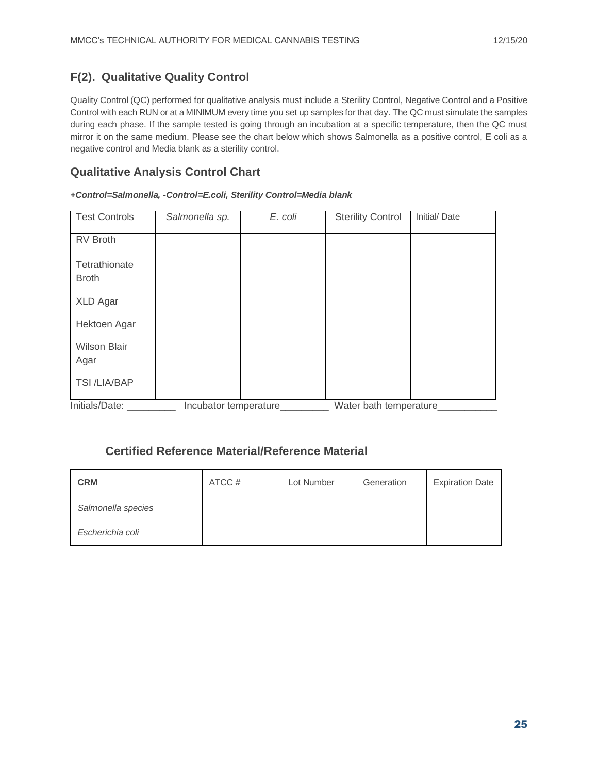# **F(2). Qualitative Quality Control**

Quality Control (QC) performed for qualitative analysis must include a Sterility Control, Negative Control and a Positive Control with each RUN or at a MINIMUM every time you set up samples for that day. The QC must simulate the samples during each phase. If the sample tested is going through an incubation at a specific temperature, then the QC must mirror it on the same medium. Please see the chart below which shows Salmonella as a positive control, E coli as a negative control and Media blank as a sterility control.

## **Qualitative Analysis Control Chart**

#### *+Control=Salmonella, -Control=E.coli, Sterility Control=Media blank*

| <b>Test Controls</b>          | Salmonella sp.        | E. coli | <b>Sterility Control</b> | Initial/Date |
|-------------------------------|-----------------------|---------|--------------------------|--------------|
| <b>RV Broth</b>               |                       |         |                          |              |
| Tetrathionate<br><b>Broth</b> |                       |         |                          |              |
| <b>XLD Agar</b>               |                       |         |                          |              |
| Hektoen Agar                  |                       |         |                          |              |
| <b>Wilson Blair</b><br>Agar   |                       |         |                          |              |
| <b>TSI /LIA/BAP</b>           |                       |         |                          |              |
| Initials/Date:                | Incubator temperature |         | Water bath temperature   |              |

### **Certified Reference Material/Reference Material**

| <b>CRM</b>         | ATCC # | Lot Number | Generation | <b>Expiration Date</b> |
|--------------------|--------|------------|------------|------------------------|
| Salmonella species |        |            |            |                        |
| Escherichia coli   |        |            |            |                        |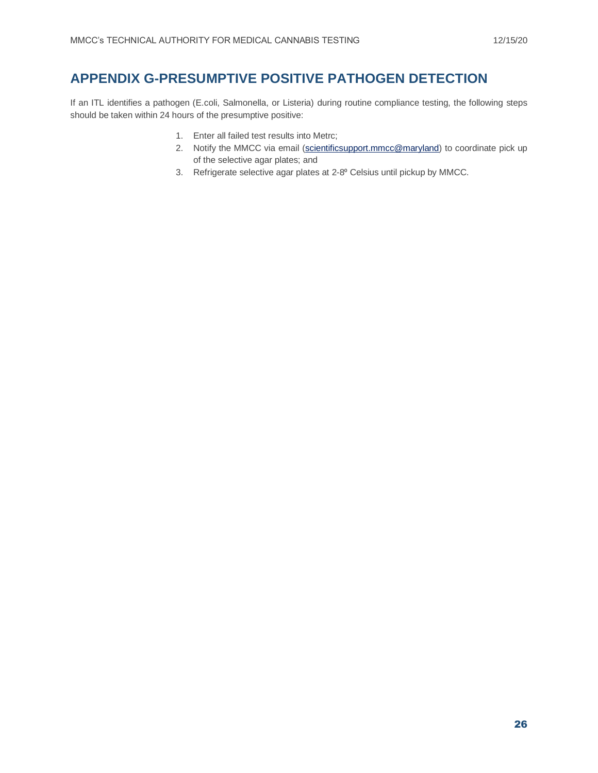# **APPENDIX G-PRESUMPTIVE POSITIVE PATHOGEN DETECTION**

If an ITL identifies a pathogen (E.coli, Salmonella, or Listeria) during routine compliance testing, the following steps should be taken within 24 hours of the presumptive positive:

- 1. Enter all failed test results into Metrc;
- 2. Notify the MMCC via email [\(scientificsupport.mmcc@maryland\)](mailto:scientificsupport.mmcc@maryland) to coordinate pick up of the selective agar plates; and
- 3. Refrigerate selective agar plates at 2-8° Celsius until pickup by MMCC.